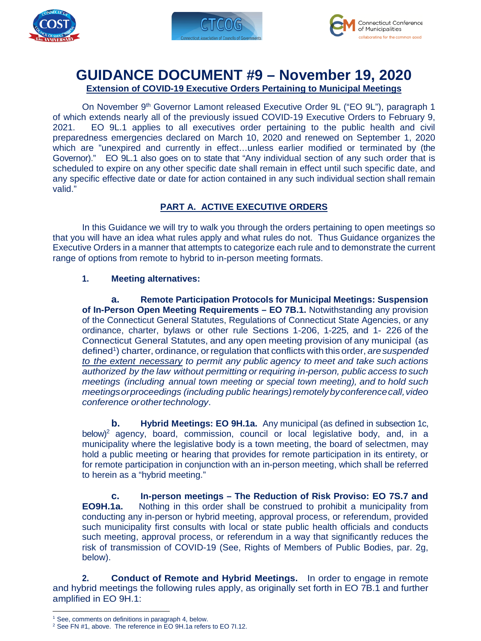





# **GUIDANCE DOCUMENT #9 – November 19, 2020 Extension of COVID-19 Executive Orders Pertaining to Municipal Meetings**

On November 9th Governor Lamont released Executive Order 9L ("EO 9L"), paragraph 1 of which extends nearly all of the previously issued COVID-19 Executive Orders to February 9, 2021. EO 9L.1 applies to all executives order pertaining to the public health and civil preparedness emergencies declared on March 10, 2020 and renewed on September 1, 2020 which are "unexpired and currently in effect…unless earlier modified or terminated by (the Governor)." EO 9L.1 also goes on to state that "Any individual section of any such order that is scheduled to expire on any other specific date shall remain in effect until such specific date, and any specific effective date or date for action contained in any such individual section shall remain valid."

## **PART A. ACTIVE EXECUTIVE ORDERS**

In this Guidance we will try to walk you through the orders pertaining to open meetings so that you will have an idea what rules apply and what rules do not. Thus Guidance organizes the Executive Orders in a manner that attempts to categorize each rule and to demonstrate the current range of options from remote to hybrid to in-person meeting formats.

### **1. Meeting alternatives:**

**a. Remote Participation Protocols for Municipal Meetings: Suspension of In-Person Open Meeting Requirements – EO 7B.1.** Notwithstanding any provision of the Connecticut General Statutes, Regulations of Connecticut State Agencies, or any ordinance, charter, bylaws or other rule Sections 1-206, 1-225, and 1- 226 of the Connecticut General Statutes, and any open meeting provision of any municipal (as defined<sup>1</sup>) charter, ordinance, or regulation that conflicts with this order, are suspended *to the extent necessary to permit any public agency to meet and take such actions authorized by the law without permitting or requiring in-person, public access to such meetings (including annual town meeting or special town meeting), and to hold such meetings or proceedings (including public hearings) remotely by conference call, video conference or other technology*.

**b. Hybrid Meetings: EO 9H.1a.** Any municipal (as defined in subsection 1c, below)<sup>2</sup> agency, board, commission, council or local legislative body, and, in a municipality where the legislative body is a town meeting, the board of selectmen, may hold a public meeting or hearing that provides for remote participation in its entirety, or for remote participation in conjunction with an in-person meeting, which shall be referred to herein as a "hybrid meeting."

**c. In-person meetings – The Reduction of Risk Proviso: EO 7S.7 and EO9H.1a.** Nothing in this order shall be construed to prohibit a municipality from conducting any in-person or hybrid meeting, approval process, or referendum, provided such municipality first consults with local or state public health officials and conducts such meeting, approval process, or referendum in a way that significantly reduces the risk of transmission of COVID-19 (See, Rights of Members of Public Bodies, par. 2g, below).

**2. Conduct of Remote and Hybrid Meetings.** In order to engage in remote and hybrid meetings the following rules apply, as originally set forth in EO 7B.1 and further amplified in EO 9H.1:

l <sup>1</sup> See, comments on definitions in paragraph 4, below.

<sup>&</sup>lt;sup>2</sup> See FN #1, above. The reference in EO 9H.1a refers to EO 7I.12.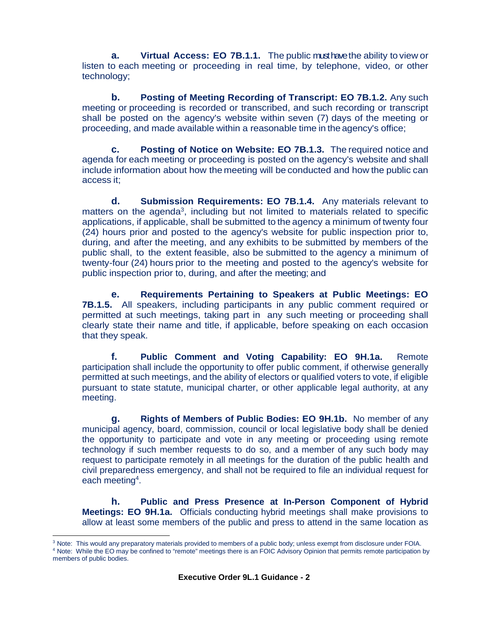**a. Virtual Access: EO 7B.1.1.** The public must have the ability to view or listen to each meeting or proceeding in real time, by telephone, video, or other technology;

**b. Posting of Meeting Recording of Transcript: EO 7B.1.2.** Any such meeting or proceeding is recorded or transcribed, and such recording or transcript shall be posted on the agency's website within seven (7) days of the meeting or proceeding, and made available within a reasonable time in the agency's office;

**c. Posting of Notice on Website: EO 7B.1.3.** The required notice and agenda for each meeting or proceeding is posted on the agency's website and shall include information about how the meeting will be conducted and how the public can access it;

**d. Submission Requirements: EO 7B.1.4.** Any materials relevant to matters on the agenda<sup>3</sup>, including but not limited to materials related to specific applications, if applicable, shall be submitted to the agency a minimum of twenty four (24) hours prior and posted to the agency's website for public inspection prior to, during, and after the meeting, and any exhibits to be submitted by members of the public shall, to the extent feasible, also be submitted to the agency a minimum of twenty-four (24) hours prior to the meeting and posted to the agency's website for public inspection prior to, during, and after the meeting; and

**e. Requirements Pertaining to Speakers at Public Meetings: EO 7B.1.5.** All speakers, including participants in any public comment required or permitted at such meetings, taking part in any such meeting or proceeding shall clearly state their name and title, if applicable, before speaking on each occasion that they speak.

**f. Public Comment and Voting Capability: EO 9H.1a.** Remote participation shall include the opportunity to offer public comment, if otherwise generally permitted at such meetings, and the ability of electors or qualified voters to vote, if eligible pursuant to state statute, municipal charter, or other applicable legal authority, at any meeting.

**g. Rights of Members of Public Bodies: EO 9H.1b.** No member of any municipal agency, board, commission, council or local legislative body shall be denied the opportunity to participate and vote in any meeting or proceeding using remote technology if such member requests to do so, and a member of any such body may request to participate remotely in all meetings for the duration of the public health and civil preparedness emergency, and shall not be required to file an individual request for each meeting<sup>4</sup>.

**h. Public and Press Presence at In-Person Component of Hybrid Meetings: EO 9H.1a.** Officials conducting hybrid meetings shall make provisions to allow at least some members of the public and press to attend in the same location as

4 Note: While the EO may be confined to "remote" meetings there is an FOIC Advisory Opinion that permits remote participation by members of public bodies.

l <sup>3</sup> Note: This would any preparatory materials provided to members of a public body; unless exempt from disclosure under FOIA.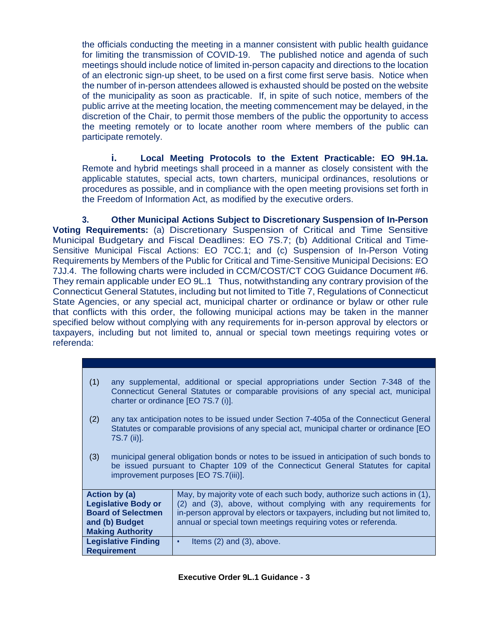the officials conducting the meeting in a manner consistent with public health guidance for limiting the transmission of COVID-19. The published notice and agenda of such meetings should include notice of limited in-person capacity and directions to the location of an electronic sign-up sheet, to be used on a first come first serve basis. Notice when the number of in-person attendees allowed is exhausted should be posted on the website of the municipality as soon as practicable. If, in spite of such notice, members of the public arrive at the meeting location, the meeting commencement may be delayed, in the discretion of the Chair, to permit those members of the public the opportunity to access the meeting remotely or to locate another room where members of the public can participate remotely.

**i. Local Meeting Protocols to the Extent Practicable: EO 9H.1a.**  Remote and hybrid meetings shall proceed in a manner as closely consistent with the applicable statutes, special acts, town charters, municipal ordinances, resolutions or procedures as possible, and in compliance with the open meeting provisions set forth in the Freedom of Information Act, as modified by the executive orders.

**3. Other Municipal Actions Subject to Discretionary Suspension of In-Person Voting Requirements:** (a) Discretionary Suspension of Critical and Time Sensitive Municipal Budgetary and Fiscal Deadlines: EO 7S.7; (b) Additional Critical and Time-Sensitive Municipal Fiscal Actions: EO 7CC.1; and (c) Suspension of In-Person Voting Requirements by Members of the Public for Critical and Time-Sensitive Municipal Decisions: EO 7JJ.4. The following charts were included in CCM/COST/CT COG Guidance Document #6. They remain applicable under EO 9L.1 Thus, notwithstanding any contrary provision of the Connecticut General Statutes, including but not limited to Title 7, Regulations of Connecticut State Agencies, or any special act, municipal charter or ordinance or bylaw or other rule that conflicts with this order, the following municipal actions may be taken in the manner specified below without complying with any requirements for in-person approval by electors or taxpayers, including but not limited to, annual or special town meetings requiring votes or referenda:

| (1)                        | any supplemental, additional or special appropriations under Section 7-348 of the<br>Connecticut General Statutes or comparable provisions of any special act, municipal<br>charter or ordinance [EO 7S.7 (i)].        |                                                                            |  |
|----------------------------|------------------------------------------------------------------------------------------------------------------------------------------------------------------------------------------------------------------------|----------------------------------------------------------------------------|--|
| (2)                        | any tax anticipation notes to be issued under Section 7-405a of the Connecticut General<br>Statutes or comparable provisions of any special act, municipal charter or ordinance [EO<br>7S.7 (ii)].                     |                                                                            |  |
| (3)                        | municipal general obligation bonds or notes to be issued in anticipation of such bonds to<br>be issued pursuant to Chapter 109 of the Connecticut General Statutes for capital<br>improvement purposes [EO 7S.7(iii)]. |                                                                            |  |
| Action by (a)              |                                                                                                                                                                                                                        | May, by majority vote of each such body, authorize such actions in (1),    |  |
| <b>Legislative Body or</b> |                                                                                                                                                                                                                        | (2) and (3), above, without complying with any requirements for            |  |
| <b>Board of Selectmen</b>  |                                                                                                                                                                                                                        | in-person approval by electors or taxpayers, including but not limited to, |  |
| and (b) Budget             |                                                                                                                                                                                                                        | annual or special town meetings requiring votes or referenda.              |  |
| <b>Making Authority</b>    |                                                                                                                                                                                                                        |                                                                            |  |
|                            | <b>Legislative Finding</b>                                                                                                                                                                                             | Items $(2)$ and $(3)$ , above.<br>$\bullet$                                |  |
| <b>Requirement</b>         |                                                                                                                                                                                                                        |                                                                            |  |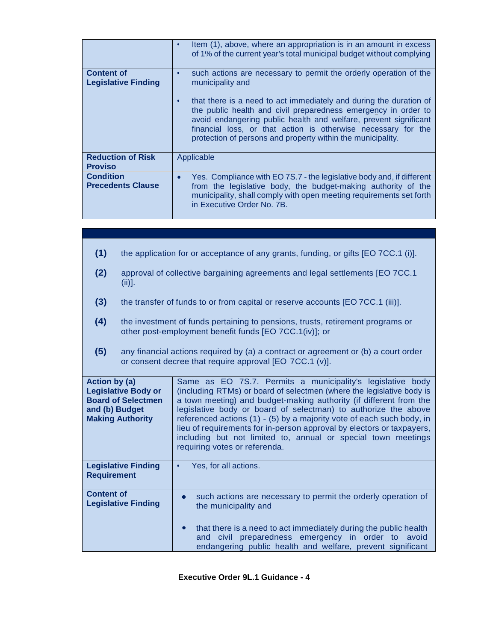|                                                 | Item (1), above, where an appropriation is in an amount in excess<br>$\bullet$<br>of 1% of the current year's total municipal budget without complying                                                                                                                                                                                                |
|-------------------------------------------------|-------------------------------------------------------------------------------------------------------------------------------------------------------------------------------------------------------------------------------------------------------------------------------------------------------------------------------------------------------|
| <b>Content of</b><br><b>Legislative Finding</b> | such actions are necessary to permit the orderly operation of the<br>$\bullet$<br>municipality and                                                                                                                                                                                                                                                    |
|                                                 | that there is a need to act immediately and during the duration of<br>$\bullet$<br>the public health and civil preparedness emergency in order to<br>avoid endangering public health and welfare, prevent significant<br>financial loss, or that action is otherwise necessary for the<br>protection of persons and property within the municipality. |
| <b>Reduction of Risk</b><br><b>Proviso</b>      | Applicable                                                                                                                                                                                                                                                                                                                                            |
| <b>Condition</b><br><b>Precedents Clause</b>    | Yes. Compliance with EO 7S.7 - the legislative body and, if different<br>$\bullet$<br>from the legislative body, the budget-making authority of the<br>municipality, shall comply with open meeting requirements set forth<br>in Executive Order No. 7B.                                                                                              |

| (1)                                                                                                                          | the application for or acceptance of any grants, funding, or gifts [EO 7CC.1 (i)].                                                            |                                                                                                                                                                                                                                                                                                                                                                                                                                                                                                                                 |
|------------------------------------------------------------------------------------------------------------------------------|-----------------------------------------------------------------------------------------------------------------------------------------------|---------------------------------------------------------------------------------------------------------------------------------------------------------------------------------------------------------------------------------------------------------------------------------------------------------------------------------------------------------------------------------------------------------------------------------------------------------------------------------------------------------------------------------|
| (2)                                                                                                                          | approval of collective bargaining agreements and legal settlements [EO 7CC.1]<br>$(iii)$ ].                                                   |                                                                                                                                                                                                                                                                                                                                                                                                                                                                                                                                 |
| (3)                                                                                                                          | the transfer of funds to or from capital or reserve accounts [EO 7CC.1 (iii)].                                                                |                                                                                                                                                                                                                                                                                                                                                                                                                                                                                                                                 |
| (4)                                                                                                                          | the investment of funds pertaining to pensions, trusts, retirement programs or<br>other post-employment benefit funds [EO 7CC.1(iv)]; or      |                                                                                                                                                                                                                                                                                                                                                                                                                                                                                                                                 |
| (5)                                                                                                                          | any financial actions required by (a) a contract or agreement or (b) a court order<br>or consent decree that require approval [EO 7CC.1 (v)]. |                                                                                                                                                                                                                                                                                                                                                                                                                                                                                                                                 |
| <b>Action by (a)</b><br><b>Legislative Body or</b><br><b>Board of Selectmen</b><br>and (b) Budget<br><b>Making Authority</b> |                                                                                                                                               | Same as EO 7S.7. Permits a municipality's legislative body<br>(including RTMs) or board of selectmen (where the legislative body is<br>a town meeting) and budget-making authority (if different from the<br>legislative body or board of selectman) to authorize the above<br>referenced actions (1) - (5) by a majority vote of each such body, in<br>lieu of requirements for in-person approval by electors or taxpayers,<br>including but not limited to, annual or special town meetings<br>requiring votes or referenda. |
| <b>Requirement</b>                                                                                                           | <b>Legislative Finding</b>                                                                                                                    | Yes, for all actions.<br>$\bullet$                                                                                                                                                                                                                                                                                                                                                                                                                                                                                              |
| <b>Content of</b>                                                                                                            | <b>Legislative Finding</b>                                                                                                                    | such actions are necessary to permit the orderly operation of<br>$\bullet$<br>the municipality and                                                                                                                                                                                                                                                                                                                                                                                                                              |
|                                                                                                                              |                                                                                                                                               | that there is a need to act immediately during the public health<br>civil preparedness emergency in order to<br>avoid<br>and<br>endangering public health and welfare, prevent significant                                                                                                                                                                                                                                                                                                                                      |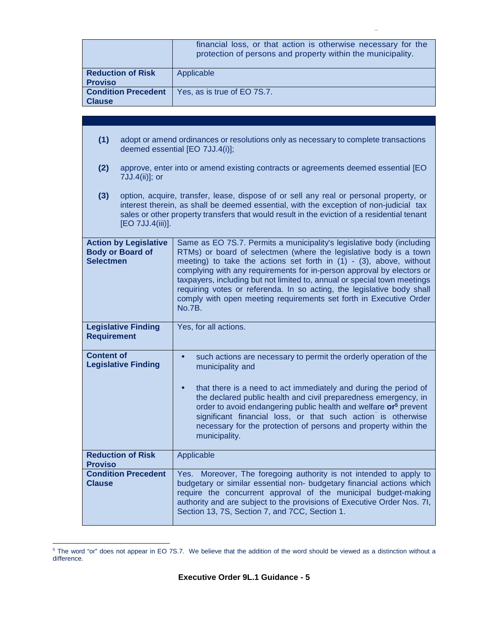|                                                                             |                                                                                                                                                                                                                                                                                 | financial loss, or that action is otherwise necessary for the<br>protection of persons and property within the municipality.                                                                                                                                                                                                                                                                                                                                                                                                                 |  |
|-----------------------------------------------------------------------------|---------------------------------------------------------------------------------------------------------------------------------------------------------------------------------------------------------------------------------------------------------------------------------|----------------------------------------------------------------------------------------------------------------------------------------------------------------------------------------------------------------------------------------------------------------------------------------------------------------------------------------------------------------------------------------------------------------------------------------------------------------------------------------------------------------------------------------------|--|
| <b>Reduction of Risk</b>                                                    |                                                                                                                                                                                                                                                                                 | Applicable                                                                                                                                                                                                                                                                                                                                                                                                                                                                                                                                   |  |
| <b>Proviso</b>                                                              |                                                                                                                                                                                                                                                                                 |                                                                                                                                                                                                                                                                                                                                                                                                                                                                                                                                              |  |
| <b>Condition Precedent</b><br><b>Clause</b>                                 |                                                                                                                                                                                                                                                                                 | Yes, as is true of EO 7S.7.                                                                                                                                                                                                                                                                                                                                                                                                                                                                                                                  |  |
|                                                                             |                                                                                                                                                                                                                                                                                 |                                                                                                                                                                                                                                                                                                                                                                                                                                                                                                                                              |  |
|                                                                             |                                                                                                                                                                                                                                                                                 |                                                                                                                                                                                                                                                                                                                                                                                                                                                                                                                                              |  |
| (1)                                                                         |                                                                                                                                                                                                                                                                                 | adopt or amend ordinances or resolutions only as necessary to complete transactions<br>deemed essential [EO 7JJ.4(i)];                                                                                                                                                                                                                                                                                                                                                                                                                       |  |
| (2)                                                                         | approve, enter into or amend existing contracts or agreements deemed essential [EO<br>7JJ.4(ii)]; or                                                                                                                                                                            |                                                                                                                                                                                                                                                                                                                                                                                                                                                                                                                                              |  |
| (3)<br>[EO 7JJ.4(iii)].                                                     | option, acquire, transfer, lease, dispose of or sell any real or personal property, or<br>interest therein, as shall be deemed essential, with the exception of non-judicial tax<br>sales or other property transfers that would result in the eviction of a residential tenant |                                                                                                                                                                                                                                                                                                                                                                                                                                                                                                                                              |  |
| <b>Action by Legislative</b><br><b>Body or Board of</b><br><b>Selectmen</b> |                                                                                                                                                                                                                                                                                 | Same as EO 7S.7. Permits a municipality's legislative body (including<br>RTMs) or board of selectmen (where the legislative body is a town<br>meeting) to take the actions set forth in $(1)$ - $(3)$ , above, without<br>complying with any requirements for in-person approval by electors or<br>taxpayers, including but not limited to, annual or special town meetings<br>requiring votes or referenda. In so acting, the legislative body shall<br>comply with open meeting requirements set forth in Executive Order<br><b>No.7B.</b> |  |
| <b>Legislative Finding</b><br><b>Requirement</b>                            |                                                                                                                                                                                                                                                                                 | Yes, for all actions.                                                                                                                                                                                                                                                                                                                                                                                                                                                                                                                        |  |
| <b>Content of</b><br><b>Legislative Finding</b>                             |                                                                                                                                                                                                                                                                                 | such actions are necessary to permit the orderly operation of the<br>$\bullet$<br>municipality and<br>that there is a need to act immediately and during the period of<br>the declared public health and civil preparedness emergency, in<br>order to avoid endangering public health and welfare or <sup>5</sup> prevent<br>significant financial loss, or that such action is otherwise<br>necessary for the protection of persons and property within the<br>municipality.                                                                |  |
| <b>Reduction of Risk</b><br><b>Proviso</b>                                  |                                                                                                                                                                                                                                                                                 | Applicable                                                                                                                                                                                                                                                                                                                                                                                                                                                                                                                                   |  |
| <b>Condition Precedent</b><br><b>Clause</b>                                 |                                                                                                                                                                                                                                                                                 | Yes. Moreover, The foregoing authority is not intended to apply to<br>budgetary or similar essential non- budgetary financial actions which<br>require the concurrent approval of the municipal budget-making<br>authority and are subject to the provisions of Executive Order Nos. 7I,<br>Section 13, 7S, Section 7, and 7CC, Section 1.                                                                                                                                                                                                   |  |

 5 The word "or" does not appear in EO 7S.7. We believe that the addition of the word should be viewed as a distinction without a difference.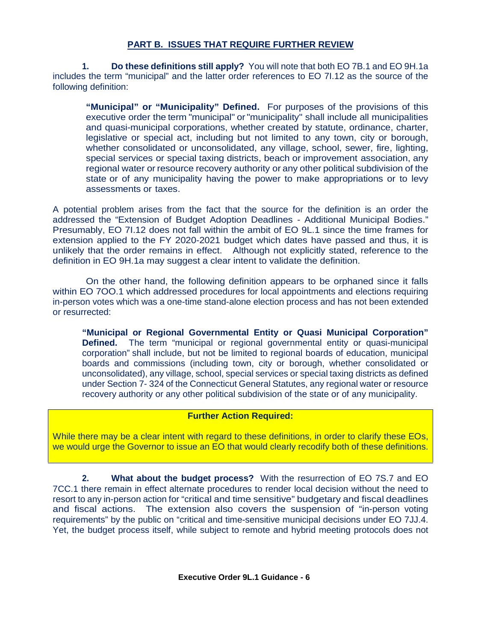### **PART B. ISSUES THAT REQUIRE FURTHER REVIEW**

**1. Do these definitions still apply?** You will note that both EO 7B.1 and EO 9H.1a includes the term "municipal" and the latter order references to EO 7I.12 as the source of the following definition:

**"Municipal" or "Municipality" Defined.** For purposes of the provisions of this executive order the term "municipal" or "municipality" shall include all municipalities and quasi-municipal corporations, whether created by statute, ordinance, charter, legislative or special act, including but not limited to any town, city or borough, whether consolidated or unconsolidated, any village, school, sewer, fire, lighting, special services or special taxing districts, beach or improvement association, any regional water or resource recovery authority or any other political subdivision of the state or of any municipality having the power to make appropriations or to levy assessments or taxes.

A potential problem arises from the fact that the source for the definition is an order the addressed the "Extension of Budget Adoption Deadlines - Additional Municipal Bodies." Presumably, EO 7I.12 does not fall within the ambit of EO 9L.1 since the time frames for extension applied to the FY 2020-2021 budget which dates have passed and thus, it is unlikely that the order remains in effect. Although not explicitly stated, reference to the definition in EO 9H.1a may suggest a clear intent to validate the definition.

On the other hand, the following definition appears to be orphaned since it falls within EO 7OO.1 which addressed procedures for local appointments and elections requiring in-person votes which was a one-time stand-alone election process and has not been extended or resurrected:

**"Municipal or Regional Governmental Entity or Quasi Municipal Corporation" Defined.** The term "municipal or regional governmental entity or quasi-municipal corporation" shall include, but not be limited to regional boards of education, municipal boards and commissions (including town, city or borough, whether consolidated or unconsolidated), any village, school, special services or special taxing districts as defined under Section 7- 324 of the Connecticut General Statutes, any regional water or resource recovery authority or any other political subdivision of the state or of any municipality.

#### **Further Action Required:**

While there may be a clear intent with regard to these definitions, in order to clarify these EOs, we would urge the Governor to issue an EO that would clearly recodify both of these definitions.

**2. What about the budget process?** With the resurrection of EO 7S.7 and EO 7CC.1 there remain in effect alternate procedures to render local decision without the need to resort to any in-person action for "critical and time sensitive" budgetary and fiscal deadlines and fiscal actions. The extension also covers the suspension of "in-person voting requirements" by the public on "critical and time-sensitive municipal decisions under EO 7JJ.4. Yet, the budget process itself, while subject to remote and hybrid meeting protocols does not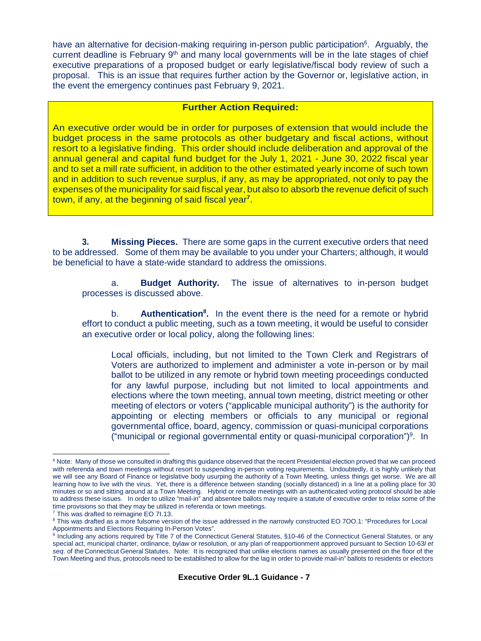have an alternative for decision-making requiring in-person public participation<sup>6</sup>. Arguably, the current deadline is February 9<sup>th</sup> and many local governments will be in the late stages of chief executive preparations of a proposed budget or early legislative/fiscal body review of such a proposal. This is an issue that requires further action by the Governor or, legislative action, in the event the emergency continues past February 9, 2021.

#### **Further Action Required:**

An executive order would be in order for purposes of extension that would include the budget process in the same protocols as other budgetary and fiscal actions, without resort to a legislative finding. This order should include deliberation and approval of the annual general and capital fund budget for the July 1, 2021 - June 30, 2022 fiscal year and to set a mill rate sufficient, in addition to the other estimated yearly income of such town and in addition to such revenue surplus, if any, as may be appropriated, not only to pay the expenses of the municipality for said fiscal year, but also to absorb the revenue deficit of such town, if any, at the beginning of said fiscal year**<sup>7</sup>** .

**3. Missing Pieces.** There are some gaps in the current executive orders that need to be addressed. Some of them may be available to you under your Charters; although, it would be beneficial to have a state-wide standard to address the omissions.

a. **Budget Authority.** The issue of alternatives to in-person budget processes is discussed above.

b. **Authentication<sup>8</sup> .** In the event there is the need for a remote or hybrid effort to conduct a public meeting, such as a town meeting, it would be useful to consider an executive order or local policy, along the following lines:

Local officials, including, but not limited to the Town Clerk and Registrars of Voters are authorized to implement and administer a vote in-person or by mail ballot to be utilized in any remote or hybrid town meeting proceedings conducted for any lawful purpose, including but not limited to local appointments and elections where the town meeting, annual town meeting, district meeting or other meeting of electors or voters ("applicable municipal authority") is the authority for appointing or electing members or officials to any municipal or regional governmental office, board, agency, commission or quasi-municipal corporations  $("municipal or regional governmental entity or quasi-municipal corporation")<sup>9</sup>. In$ 

l

<sup>&</sup>lt;sup>6</sup> Note: Many of those we consulted in drafting this guidance observed that the recent Presidential election proved that we can proceed with referenda and town meetings without resort to suspending in-person voting requirements. Undoubtedly, it is highly unlikely that we will see any Board of Finance or legislative body usurping the authority of a Town Meeting, unless things get worse. We are all learning how to live with the virus. Yet, there is a difference between standing (socially distanced) in a line at a polling place for 30 minutes or so and sitting around at a Town Meeting. Hybrid or remote meetings with an authenticated voting protocol should be able to address these issues. In order to utilize "mail-in" and absentee ballots may require a statute of executive order to relax some of the time provisions so that they may be utilized in referenda or town meetings.

<sup>&</sup>lt;sup>7</sup> This was drafted to reimagine EO 71.13.

<sup>&</sup>lt;sup>8</sup> This was drafted as a more fulsome version of the issue addressed in the narrowly constructed EO 700.1: "Procedures for Local Appointments and Elections Requiring In-Person Votes".

<sup>&</sup>lt;sup>9</sup> Including any actions required by Title 7 of the Connecticut General Statutes, §10-46 of the Connecticut General Statutes, or any special act, municipal charter, ordinance, bylaw or resolution, or any plan of reapportionment approved pursuant to Section 10-63*l et seq*. of the Connecticut General Statutes. Note: It is recognized that unlike elections names as usually presented on the floor of the Town Meeting and thus, protocols need to be established to allow for the lag in order to provide mail-in" ballots to residents or electors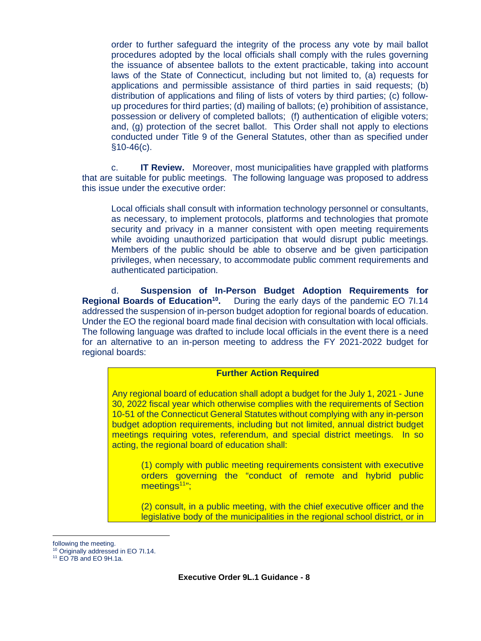order to further safeguard the integrity of the process any vote by mail ballot procedures adopted by the local officials shall comply with the rules governing the issuance of absentee ballots to the extent practicable, taking into account laws of the State of Connecticut, including but not limited to, (a) requests for applications and permissible assistance of third parties in said requests; (b) distribution of applications and filing of lists of voters by third parties; (c) followup procedures for third parties; (d) mailing of ballots; (e) prohibition of assistance, possession or delivery of completed ballots; (f) authentication of eligible voters; and, (g) protection of the secret ballot. This Order shall not apply to elections conducted under Title 9 of the General Statutes, other than as specified under §10-46(c).

c. **IT Review.** Moreover, most municipalities have grappled with platforms that are suitable for public meetings. The following language was proposed to address this issue under the executive order:

Local officials shall consult with information technology personnel or consultants, as necessary, to implement protocols, platforms and technologies that promote security and privacy in a manner consistent with open meeting requirements while avoiding unauthorized participation that would disrupt public meetings. Members of the public should be able to observe and be given participation privileges, when necessary, to accommodate public comment requirements and authenticated participation.

d. **Suspension of In-Person Budget Adoption Requirements for Regional Boards of Education<sup>10</sup> .** During the early days of the pandemic EO 7I.14 addressed the suspension of in-person budget adoption for regional boards of education. Under the EO the regional board made final decision with consultation with local officials. The following language was drafted to include local officials in the event there is a need for an alternative to an in-person meeting to address the FY 2021-2022 budget for regional boards:

#### **Further Action Required**

Any regional board of education shall adopt a budget for the July 1, 2021 - June 30, 2022 fiscal year which otherwise complies with the requirements of Section 10-51 of the Connecticut General Statutes without complying with any in-person budget adoption requirements, including but not limited, annual district budget meetings requiring votes, referendum, and special district meetings. In so acting, the regional board of education shall:

(1) comply with public meeting requirements consistent with executive orders governing the "conduct of remote and hybrid public meetings<sup>11</sup>";

(2) consult, in a public meeting, with the chief executive officer and the legislative body of the municipalities in the regional school district, or in

l

following the meeting.

<sup>10</sup> Originally addressed in EO 7I.14.

 $11$  EO 7B and EO 9H.1a.